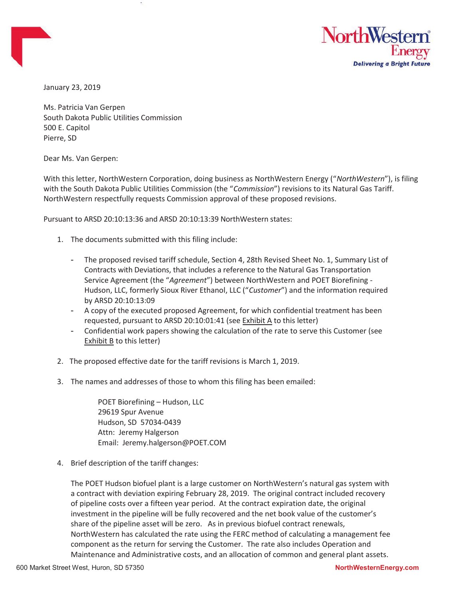

January 23, 2019

Ms. Patricia Van Gerpen South Dakota Public Utilities Commission 500 E. Capitol Pierre, SD

Dear Ms. Van Gerpen:

With this letter, NorthWestern Corporation, doing business as NorthWestern Energy ("NorthWestern"), is filing with the South Dakota Public Utilities Commission (the "Commission") revisions to its Natural Gas Tariff. NorthWestern respectfully requests Commission approval of these proposed revisions.

Pursuant to ARSD 20:10:13:36 and ARSD 20:10:13:39 NorthWestern states:

- 1. The documents submitted with this filing include:
	- The proposed revised tariff schedule, Section 4, 28th Revised Sheet No. 1, Summary List of Contracts with Deviations, that includes a reference to the Natural Gas Transportation Service Agreement (the "Agreement") between NorthWestern and POET Biorefining - Hudson, LLC, formerly Sioux River Ethanol, LLC ("Customer") and the information required by ARSD 20:10:13:09
	- A copy of the executed proposed Agreement, for which confidential treatment has been requested, pursuant to ARSD 20:10:01:41 (see Exhibit A to this letter)
	- Confidential work papers showing the calculation of the rate to serve this Customer (see Exhibit B to this letter)
- 2. The proposed effective date for the tariff revisions is March 1, 2019.
- 3. The names and addresses of those to whom this filing has been emailed:

POET Biorefining – Hudson, LLC 29619 Spur Avenue Hudson, SD 57034-0439 Attn: Jeremy Halgerson Email: Jeremy.halgerson@POET.COM

4. Brief description of the tariff changes:

The POET Hudson biofuel plant is a large customer on NorthWestern's natural gas system with a contract with deviation expiring February 28, 2019. The original contract included recovery of pipeline costs over a fifteen year period. At the contract expiration date, the original investment in the pipeline will be fully recovered and the net book value of the customer's share of the pipeline asset will be zero. As in previous biofuel contract renewals, NorthWestern has calculated the rate using the FERC method of calculating a management fee component as the return for serving the Customer. The rate also includes Operation and Maintenance and Administrative costs, and an allocation of common and general plant assets.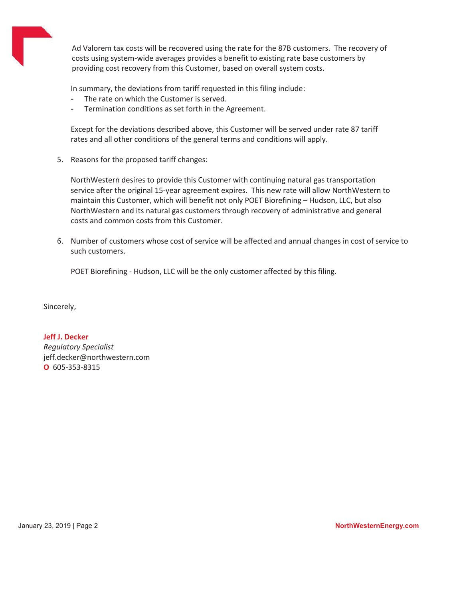

Ad Valorem tax costs will be recovered using the rate for the 87B customers. The recovery of costs using system-wide averages provides a benefit to existing rate base customers by providing cost recovery from this Customer, based on overall system costs.

In summary, the deviations from tariff requested in this filing include:

- The rate on which the Customer is served.
- Termination conditions as set forth in the Agreement.

Except for the deviations described above, this Customer will be served under rate 87 tariff rates and all other conditions of the general terms and conditions will apply.

5. Reasons for the proposed tariff changes:

NorthWestern desires to provide this Customer with continuing natural gas transportation service after the original 15-year agreement expires. This new rate will allow NorthWestern to maintain this Customer, which will benefit not only POET Biorefining – Hudson, LLC, but also NorthWestern and its natural gas customers through recovery of administrative and general costs and common costs from this Customer.

6. Number of customers whose cost of service will be affected and annual changes in cost of service to such customers.

POET Biorefining - Hudson, LLC will be the only customer affected by this filing.

Sincerely,

## Jeff J. Decker

Regulatory Specialist jeff.decker@northwestern.com O 605-353-8315